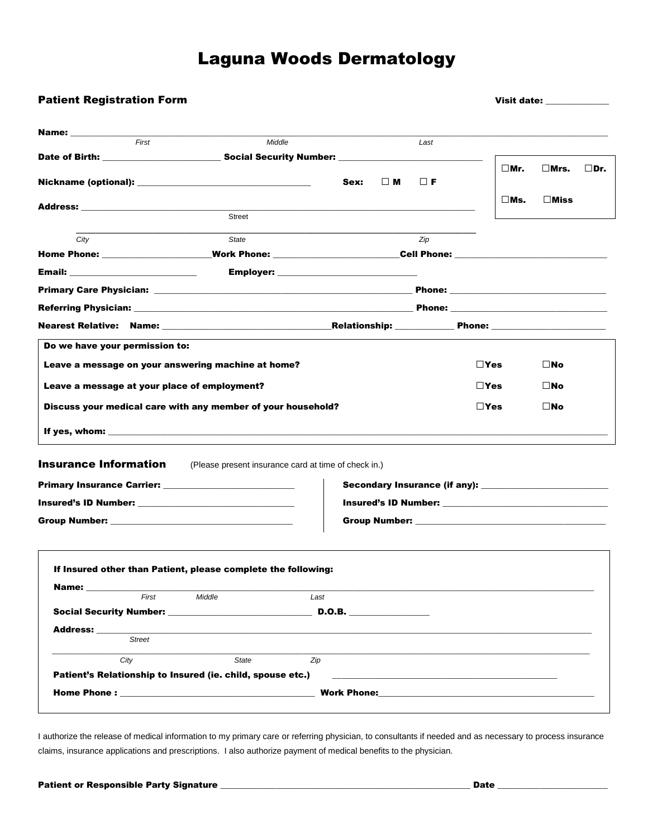# Laguna Woods Dermatology

|                                                                                                                                                                                                                                |                                                               | Visit date: which is a set of the set of the set of the set of the set of the set of the set of the set of the                                                                                                                 |          |               |               |                |               |
|--------------------------------------------------------------------------------------------------------------------------------------------------------------------------------------------------------------------------------|---------------------------------------------------------------|--------------------------------------------------------------------------------------------------------------------------------------------------------------------------------------------------------------------------------|----------|---------------|---------------|----------------|---------------|
| Name: ____________                                                                                                                                                                                                             |                                                               |                                                                                                                                                                                                                                |          |               |               |                |               |
| First                                                                                                                                                                                                                          | Middle                                                        |                                                                                                                                                                                                                                | Last     |               |               |                |               |
| Date of Birth: ______________________________Social Security Number: ______________________________                                                                                                                            |                                                               |                                                                                                                                                                                                                                |          |               |               |                |               |
|                                                                                                                                                                                                                                |                                                               |                                                                                                                                                                                                                                |          |               | $\square$ Mr. | $\square$ Mrs. | $\square$ Dr. |
|                                                                                                                                                                                                                                |                                                               | $\square$ M<br>Sex:                                                                                                                                                                                                            | $\Box$ F |               |               |                |               |
|                                                                                                                                                                                                                                |                                                               |                                                                                                                                                                                                                                |          |               | $\square$ Ms. | $\square$ Miss |               |
|                                                                                                                                                                                                                                | Street                                                        |                                                                                                                                                                                                                                |          |               |               |                |               |
| City                                                                                                                                                                                                                           | State                                                         |                                                                                                                                                                                                                                | Zip      |               |               |                |               |
|                                                                                                                                                                                                                                |                                                               |                                                                                                                                                                                                                                |          |               |               |                |               |
| Email: _____________________________                                                                                                                                                                                           |                                                               |                                                                                                                                                                                                                                |          |               |               |                |               |
|                                                                                                                                                                                                                                |                                                               |                                                                                                                                                                                                                                |          |               |               |                |               |
|                                                                                                                                                                                                                                |                                                               |                                                                                                                                                                                                                                |          |               |               |                |               |
| <b>Referring Physician:</b> New York 1999 (New York 1999) (New York 1999) (New York 1999) (New York 1999) (New York 1999)                                                                                                      |                                                               |                                                                                                                                                                                                                                |          |               |               |                |               |
|                                                                                                                                                                                                                                |                                                               |                                                                                                                                                                                                                                |          |               |               |                |               |
| Do we have your permission to:                                                                                                                                                                                                 |                                                               |                                                                                                                                                                                                                                |          |               |               |                |               |
|                                                                                                                                                                                                                                |                                                               |                                                                                                                                                                                                                                |          |               |               |                |               |
| Leave a message on your answering machine at home?                                                                                                                                                                             |                                                               |                                                                                                                                                                                                                                |          | $\square$ Yes |               | $\square$ No   |               |
| Leave a message at your place of employment?                                                                                                                                                                                   |                                                               |                                                                                                                                                                                                                                |          | $\square$ Yes |               | $\square$ No   |               |
|                                                                                                                                                                                                                                |                                                               |                                                                                                                                                                                                                                |          |               |               |                |               |
|                                                                                                                                                                                                                                |                                                               |                                                                                                                                                                                                                                |          |               |               |                |               |
| Discuss your medical care with any member of your household?                                                                                                                                                                   |                                                               |                                                                                                                                                                                                                                |          | $\square$ Yes |               | $\square$ No   |               |
|                                                                                                                                                                                                                                |                                                               |                                                                                                                                                                                                                                |          |               |               |                |               |
|                                                                                                                                                                                                                                |                                                               |                                                                                                                                                                                                                                |          |               |               |                |               |
|                                                                                                                                                                                                                                |                                                               |                                                                                                                                                                                                                                |          |               |               |                |               |
|                                                                                                                                                                                                                                | (Please present insurance card at time of check in.)          |                                                                                                                                                                                                                                |          |               |               |                |               |
|                                                                                                                                                                                                                                |                                                               |                                                                                                                                                                                                                                |          |               |               |                |               |
| <b>Insurance Information</b>                                                                                                                                                                                                   |                                                               |                                                                                                                                                                                                                                |          |               |               |                |               |
|                                                                                                                                                                                                                                |                                                               | Group Number: National Contract of Contract of Contract of Contract of Contract of Contract of Contract of Contract of Contract of Contract of Contract of Contract of Contract of Contract of Contract of Contract of Contrac |          |               |               |                |               |
|                                                                                                                                                                                                                                |                                                               |                                                                                                                                                                                                                                |          |               |               |                |               |
|                                                                                                                                                                                                                                |                                                               |                                                                                                                                                                                                                                |          |               |               |                |               |
|                                                                                                                                                                                                                                |                                                               |                                                                                                                                                                                                                                |          |               |               |                |               |
| Group Number: National Contract of Contract of Contract of Contract of Contract of Contract of Contract of Contract of Contract of Contract of Contract of Contract of Contract of Contract of Contract of Contract of Contrac | If Insured other than Patient, please complete the following: |                                                                                                                                                                                                                                |          |               |               |                |               |
| Name: when the set of the set of the set of the set of the set of the set of the set of the set of the set of the set of the set of the set of the set of the set of the set of the set of the set of the set of the set of th |                                                               |                                                                                                                                                                                                                                |          |               |               |                |               |
| First                                                                                                                                                                                                                          | Middle                                                        | Last                                                                                                                                                                                                                           |          |               |               |                |               |
|                                                                                                                                                                                                                                |                                                               |                                                                                                                                                                                                                                |          |               |               |                |               |
| Address: _____                                                                                                                                                                                                                 |                                                               |                                                                                                                                                                                                                                |          |               |               |                |               |
| <b>Street</b>                                                                                                                                                                                                                  |                                                               |                                                                                                                                                                                                                                |          |               |               |                |               |
| City                                                                                                                                                                                                                           | State                                                         | Zip                                                                                                                                                                                                                            |          |               |               |                |               |
|                                                                                                                                                                                                                                | Patient's Relationship to Insured (ie. child, spouse etc.)    |                                                                                                                                                                                                                                |          |               |               |                |               |

I authorize the release of medical information to my primary care or referring physician, to consultants if needed and as necessary to process insurance claims, insurance applications and prescriptions. I also authorize payment of medical benefits to the physician.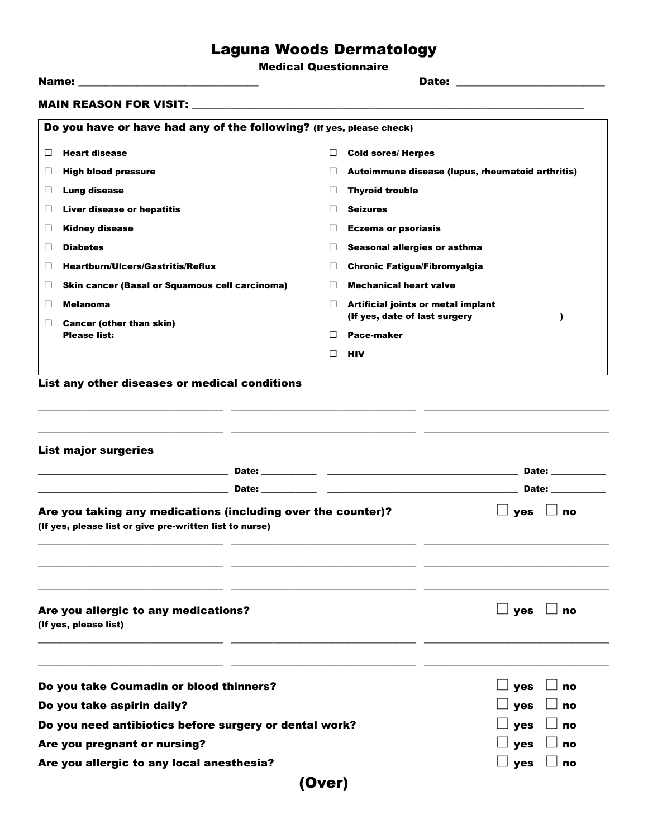# Laguna Woods Dermatology

Medical Questionnaire

|        |                                                                      |         | Date: _________________________                                                                                                          |  |  |  |  |
|--------|----------------------------------------------------------------------|---------|------------------------------------------------------------------------------------------------------------------------------------------|--|--|--|--|
|        |                                                                      |         |                                                                                                                                          |  |  |  |  |
|        | Do you have or have had any of the following? (If yes, please check) |         |                                                                                                                                          |  |  |  |  |
| □      | <b>Heart disease</b>                                                 | □       | <b>Cold sores/ Herpes</b>                                                                                                                |  |  |  |  |
| $\Box$ | <b>High blood pressure</b>                                           | $\Box$  | Autoimmune disease (lupus, rheumatoid arthritis)                                                                                         |  |  |  |  |
| $\Box$ | <b>Lung disease</b>                                                  | □       | <b>Thyroid trouble</b>                                                                                                                   |  |  |  |  |
| $\Box$ | Liver disease or hepatitis                                           | $\Box$  | <b>Seizures</b>                                                                                                                          |  |  |  |  |
| ⊔      | <b>Kidney disease</b>                                                | $\perp$ | <b>Eczema or psoriasis</b>                                                                                                               |  |  |  |  |
| □      | <b>Diabetes</b>                                                      | $\Box$  | Seasonal allergies or asthma                                                                                                             |  |  |  |  |
| □      | <b>Heartburn/Ulcers/Gastritis/Reflux</b>                             | □       | <b>Chronic Fatigue/Fibromyalgia</b>                                                                                                      |  |  |  |  |
| □      | Skin cancer (Basal or Squamous cell carcinoma)                       | $\Box$  | <b>Mechanical heart valve</b>                                                                                                            |  |  |  |  |
| □      | <b>Melanoma</b>                                                      | $\Box$  | Artificial joints or metal implant<br>(If yes, date of last surgery _______________)                                                     |  |  |  |  |
| $\Box$ | <b>Cancer (other than skin)</b>                                      | $\perp$ | Pace-maker                                                                                                                               |  |  |  |  |
|        |                                                                      | $\Box$  | <b>HIV</b>                                                                                                                               |  |  |  |  |
|        |                                                                      |         |                                                                                                                                          |  |  |  |  |
|        | List any other diseases or medical conditions                        |         |                                                                                                                                          |  |  |  |  |
|        |                                                                      |         |                                                                                                                                          |  |  |  |  |
|        |                                                                      |         |                                                                                                                                          |  |  |  |  |
|        | <b>List major surgeries</b>                                          |         | <u> 1989 - Andrea Santa Alemania (h. 1989).</u>                                                                                          |  |  |  |  |
|        |                                                                      |         | Date: __________                                                                                                                         |  |  |  |  |
|        | Date:                                                                |         | Date: _________<br><u> 1989 - Johann John Stein, mars an deutscher Stein und der Stein und der Stein und der Stein und der Stein und</u> |  |  |  |  |

| Are you taking any medications (including over the counter)?<br>(If yes, please list or give pre-written list to nurse) | $\Box$ yes $\Box$ no |  |
|-------------------------------------------------------------------------------------------------------------------------|----------------------|--|
|                                                                                                                         |                      |  |

|  |                       |  | Are you allergic to any medications? |
|--|-----------------------|--|--------------------------------------|
|  | (If yes, please list) |  |                                      |

\_\_\_\_\_\_\_\_\_\_\_\_\_\_\_\_\_\_\_\_\_\_\_\_\_\_\_\_\_\_\_\_\_\_\_

\_\_\_\_\_\_\_\_\_\_\_\_\_\_\_\_\_\_\_\_\_\_\_\_\_\_\_\_\_\_\_\_\_\_\_

\_\_\_\_\_\_\_\_\_\_\_\_\_\_\_\_\_\_\_\_\_\_\_\_\_\_\_\_\_\_\_\_\_\_\_

\_\_\_\_\_\_\_\_\_\_\_\_\_\_\_\_\_\_\_\_\_\_\_\_\_\_\_\_\_\_\_\_\_\_\_

| Do you take Coumadin or blood thinners?                | $\Box$ yes $\Box$ no |  |  |  |
|--------------------------------------------------------|----------------------|--|--|--|
| Do you take aspirin daily?                             | $\Box$ yes $\Box$ no |  |  |  |
| Do you need antibiotics before surgery or dental work? | $\Box$ yes $\Box$ no |  |  |  |
| Are you pregnant or nursing?                           | $\Box$ yes $\Box$ no |  |  |  |
| Are you allergic to any local anesthesia?              | $\Box$ yes $\Box$ no |  |  |  |
| (Over)                                                 |                      |  |  |  |

\_\_\_\_\_\_\_\_\_\_\_\_\_\_\_\_\_\_\_\_\_\_\_\_\_\_\_\_\_\_\_\_\_\_\_

\_\_\_\_\_\_\_\_\_\_\_\_\_\_\_\_\_\_\_\_\_\_\_\_\_\_\_\_\_\_\_\_\_\_\_

\_\_\_\_\_\_\_\_\_\_\_\_\_\_\_\_\_\_\_\_\_\_\_\_\_\_\_\_\_\_\_\_\_\_\_

\_\_\_\_\_\_\_\_\_\_\_\_\_\_\_\_\_\_\_\_\_\_\_\_\_\_\_\_\_\_\_\_\_\_\_

\_\_\_\_\_\_\_\_\_\_\_\_\_\_\_\_\_\_\_\_\_\_\_\_\_\_\_\_\_\_\_\_\_\_\_

 $\Box$  yes  $\Box$  no

\_\_\_\_\_\_\_\_\_\_\_\_\_\_\_\_\_\_\_\_\_\_\_\_\_\_\_\_\_\_\_\_\_\_\_

\_\_\_\_\_\_\_\_\_\_\_\_\_\_\_\_\_\_\_\_\_\_\_\_\_\_\_\_\_\_\_\_\_\_\_

\_\_\_\_\_\_\_\_\_\_\_\_\_\_\_\_\_\_\_\_\_\_\_\_\_\_\_\_\_\_\_\_\_\_\_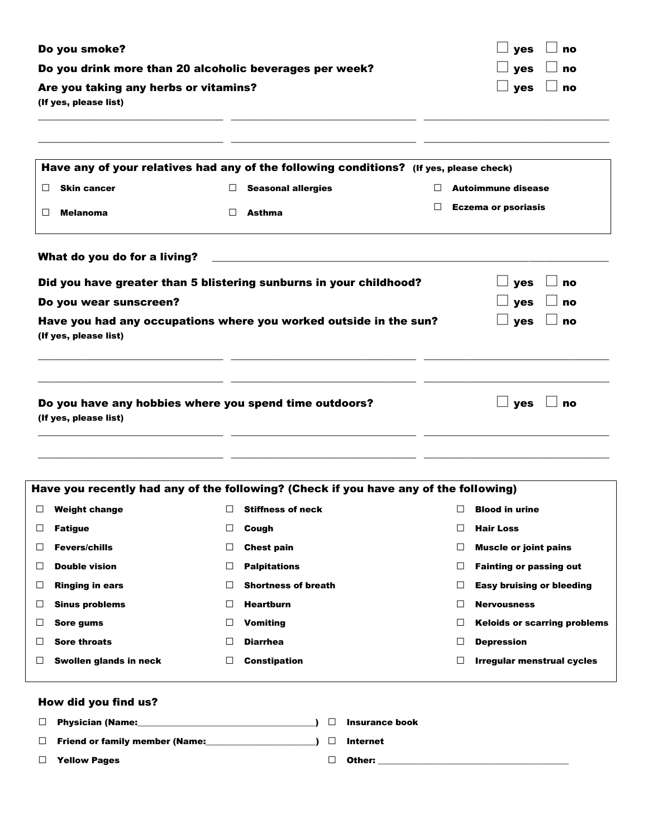| Do you smoke?                                           | $\Box$ yes $\Box$ no |
|---------------------------------------------------------|----------------------|
| Do you drink more than 20 alcoholic beverages per week? | $\Box$ yes $\Box$ no |
| Are you taking any herbs or vitamins?                   | $\Box$ yes $\Box$ no |
| (If yes, please list)                                   |                      |
|                                                         |                      |

\_\_\_\_\_\_\_\_\_\_\_\_\_\_\_\_\_\_\_\_\_\_\_\_\_\_\_\_\_\_\_\_\_\_\_

\_\_\_\_\_\_\_\_\_\_\_\_\_\_\_\_\_\_\_\_\_\_\_\_\_\_\_\_\_\_\_\_\_\_\_

\_\_\_\_\_\_\_\_\_\_\_\_\_\_\_\_\_\_\_\_\_\_\_\_\_\_\_\_\_\_\_\_\_\_\_

| Have any of your relatives had any of the following conditions? (If yes, please check)     |         |                           |                            |
|--------------------------------------------------------------------------------------------|---------|---------------------------|----------------------------|
| <b>Skin cancer</b>                                                                         | $\perp$ | <b>Seasonal allergies</b> | <b>Autoimmune disease</b>  |
| <b>Melanoma</b>                                                                            | П       | <b>Asthma</b>             | <b>Eczema or psoriasis</b> |
|                                                                                            |         |                           |                            |
| Did you have greater than 5 blistering sunburns in your childhood?                         |         |                           | yes<br>no                  |
| Do you wear sunscreen?                                                                     |         |                           | yes<br>no                  |
| Have you had any occupations where you worked outside in the sun?<br>(If yes, please list) |         |                           | yes<br>no                  |
|                                                                                            |         |                           |                            |
| Do you have any hobbies where you spend time outdoors?<br>(If yes, please list)            |         |                           | <b>ves</b><br>no           |

| Have you recently had any of the following? (Check if you have any of the following) |                        |        |                            |                          |                                     |  |
|--------------------------------------------------------------------------------------|------------------------|--------|----------------------------|--------------------------|-------------------------------------|--|
|                                                                                      | <b>Weight change</b>   |        | <b>Stiffness of neck</b>   |                          | <b>Blood in urine</b>               |  |
|                                                                                      | <b>Fatigue</b>         | $\Box$ | Cough                      |                          | <b>Hair Loss</b>                    |  |
|                                                                                      | <b>Fevers/chills</b>   | L      | <b>Chest pain</b>          |                          | <b>Muscle or joint pains</b>        |  |
|                                                                                      | <b>Double vision</b>   | L      | <b>Palpitations</b>        |                          | <b>Fainting or passing out</b>      |  |
|                                                                                      | <b>Ringing in ears</b> |        | <b>Shortness of breath</b> |                          | <b>Easy bruising or bleeding</b>    |  |
|                                                                                      | <b>Sinus problems</b>  |        | <b>Heartburn</b>           |                          | <b>Nervousness</b>                  |  |
|                                                                                      | Sore gums              |        | Vomiting                   | $\overline{\phantom{a}}$ | <b>Keloids or scarring problems</b> |  |
|                                                                                      | <b>Sore throats</b>    |        | <b>Diarrhea</b>            | $\overline{\phantom{a}}$ | <b>Depression</b>                   |  |
|                                                                                      | Swollen glands in neck |        | <b>Constipation</b>        | $\overline{\phantom{a}}$ | Irregular menstrual cycles          |  |
|                                                                                      |                        |        |                            |                          |                                     |  |

\_\_\_\_\_\_\_\_\_\_\_\_\_\_\_\_\_\_\_\_\_\_\_\_\_\_\_\_\_\_\_\_\_\_\_

### How did you find us?

\_\_\_\_\_\_\_\_\_\_\_\_\_\_\_\_\_\_\_\_\_\_\_\_\_\_\_\_\_\_\_\_\_\_\_

\_\_\_\_\_\_\_\_\_\_\_\_\_\_\_\_\_\_\_\_\_\_\_\_\_\_\_\_\_\_\_\_\_\_\_

| $\Box$ | Physician (Name:_                     | <b>Insurance book</b> |
|--------|---------------------------------------|-----------------------|
| $\Box$ | <b>Friend or family member (Name:</b> | Internet              |
| $\Box$ | <b>Yellow Pages</b>                   | Other:                |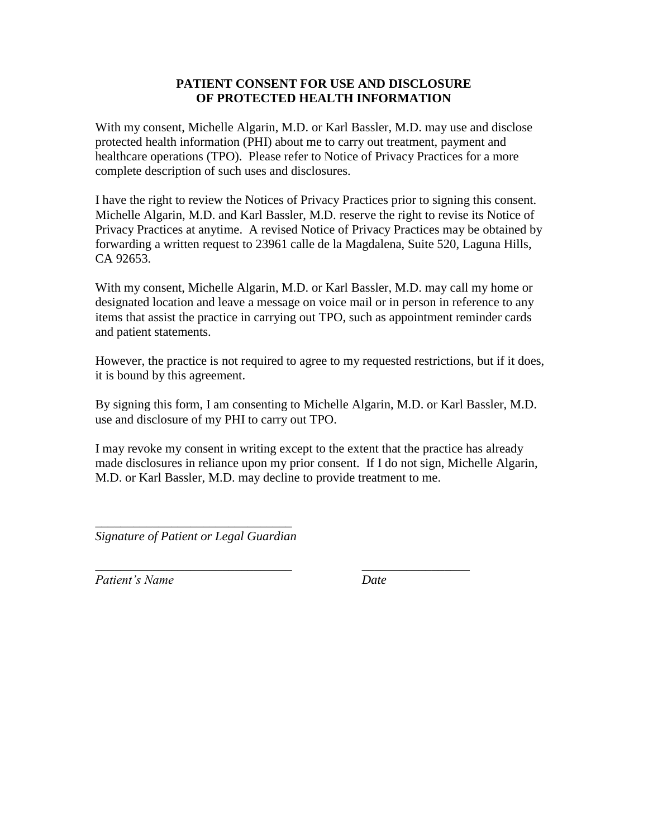#### **PATIENT CONSENT FOR USE AND DISCLOSURE OF PROTECTED HEALTH INFORMATION**

With my consent, Michelle Algarin, M.D. or Karl Bassler, M.D. may use and disclose protected health information (PHI) about me to carry out treatment, payment and healthcare operations (TPO). Please refer to Notice of Privacy Practices for a more complete description of such uses and disclosures.

I have the right to review the Notices of Privacy Practices prior to signing this consent. Michelle Algarin, M.D. and Karl Bassler, M.D. reserve the right to revise its Notice of Privacy Practices at anytime. A revised Notice of Privacy Practices may be obtained by forwarding a written request to 23961 calle de la Magdalena, Suite 520, Laguna Hills, CA 92653.

With my consent, Michelle Algarin, M.D. or Karl Bassler, M.D. may call my home or designated location and leave a message on voice mail or in person in reference to any items that assist the practice in carrying out TPO, such as appointment reminder cards and patient statements.

However, the practice is not required to agree to my requested restrictions, but if it does, it is bound by this agreement.

By signing this form, I am consenting to Michelle Algarin, M.D. or Karl Bassler, M.D. use and disclosure of my PHI to carry out TPO.

I may revoke my consent in writing except to the extent that the practice has already made disclosures in reliance upon my prior consent. If I do not sign, Michelle Algarin, M.D. or Karl Bassler, M.D. may decline to provide treatment to me.

\_\_\_\_\_\_\_\_\_\_\_\_\_\_\_\_\_\_\_\_\_\_\_\_\_\_\_\_\_\_\_ \_\_\_\_\_\_\_\_\_\_\_\_\_\_\_\_\_

\_\_\_\_\_\_\_\_\_\_\_\_\_\_\_\_\_\_\_\_\_\_\_\_\_\_\_\_\_\_\_ *Signature of Patient or Legal Guardian*

*Patient's Name Date*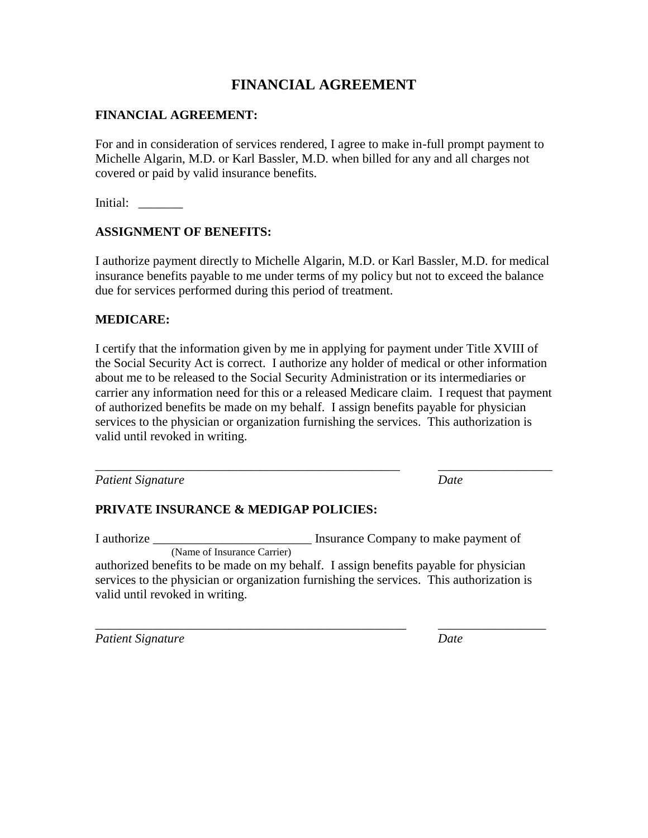### **FINANCIAL AGREEMENT**

#### **FINANCIAL AGREEMENT:**

For and in consideration of services rendered, I agree to make in-full prompt payment to Michelle Algarin, M.D. or Karl Bassler, M.D. when billed for any and all charges not covered or paid by valid insurance benefits.

Initial: \_\_\_\_\_\_\_\_

#### **ASSIGNMENT OF BENEFITS:**

I authorize payment directly to Michelle Algarin, M.D. or Karl Bassler, M.D. for medical insurance benefits payable to me under terms of my policy but not to exceed the balance due for services performed during this period of treatment.

#### **MEDICARE:**

I certify that the information given by me in applying for payment under Title XVIII of the Social Security Act is correct. I authorize any holder of medical or other information about me to be released to the Social Security Administration or its intermediaries or carrier any information need for this or a released Medicare claim. I request that payment of authorized benefits be made on my behalf. I assign benefits payable for physician services to the physician or organization furnishing the services. This authorization is valid until revoked in writing.

\_\_\_\_\_\_\_\_\_\_\_\_\_\_\_\_\_\_\_\_\_\_\_\_\_\_\_\_\_\_\_\_\_\_\_\_\_\_\_\_\_\_\_\_\_\_\_\_ \_\_\_\_\_\_\_\_\_\_\_\_\_\_\_\_\_\_

*Patient Signature Date*

#### **PRIVATE INSURANCE & MEDIGAP POLICIES:**

I authorize \_\_\_\_\_\_\_\_\_\_\_\_\_\_\_\_\_\_\_\_\_\_\_\_\_ Insurance Company to make payment of (Name of Insurance Carrier)

authorized benefits to be made on my behalf. I assign benefits payable for physician services to the physician or organization furnishing the services. This authorization is valid until revoked in writing.

\_\_\_\_\_\_\_\_\_\_\_\_\_\_\_\_\_\_\_\_\_\_\_\_\_\_\_\_\_\_\_\_\_\_\_\_\_\_\_\_\_\_\_\_\_\_\_\_\_ \_\_\_\_\_\_\_\_\_\_\_\_\_\_\_\_\_

*Patient Signature Date*